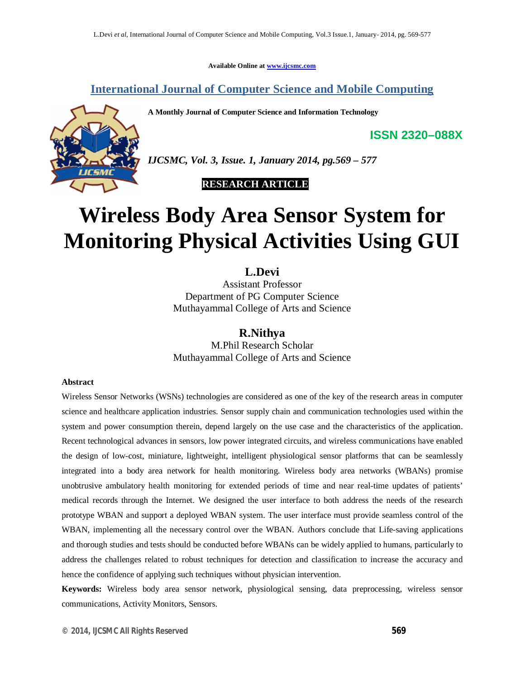**Available Online at www.ijcsmc.com**

**International Journal of Computer Science and Mobile Computing**

**A Monthly Journal of Computer Science and Information Technology**



*IJCSMC, Vol. 3, Issue. 1, January 2014, pg.569 – 577*

 **RESEARCH ARTICLE**

# **Wireless Body Area Sensor System for Monitoring Physical Activities Using GUI**

## **L.Devi**

Assistant Professor Department of PG Computer Science Muthayammal College of Arts and Science

## **R.Nithya**

M.Phil Research Scholar Muthayammal College of Arts and Science

#### **Abstract**

Wireless Sensor Networks (WSNs) technologies are considered as one of the key of the research areas in computer science and healthcare application industries. Sensor supply chain and communication technologies used within the system and power consumption therein, depend largely on the use case and the characteristics of the application. Recent technological advances in sensors, low power integrated circuits, and wireless communications have enabled the design of low-cost, miniature, lightweight, intelligent physiological sensor platforms that can be seamlessly integrated into a body area network for health monitoring. Wireless body area networks (WBANs) promise unobtrusive ambulatory health monitoring for extended periods of time and near real-time updates of patients' medical records through the Internet. We designed the user interface to both address the needs of the research prototype WBAN and support a deployed WBAN system. The user interface must provide seamless control of the WBAN, implementing all the necessary control over the WBAN. Authors conclude that Life-saving applications and thorough studies and tests should be conducted before WBANs can be widely applied to humans, particularly to address the challenges related to robust techniques for detection and classification to increase the accuracy and hence the confidence of applying such techniques without physician intervention.

**Keywords:** Wireless body area sensor network, physiological sensing, data preprocessing, wireless sensor communications, Activity Monitors, Sensors.

**ISSN 2320–088X**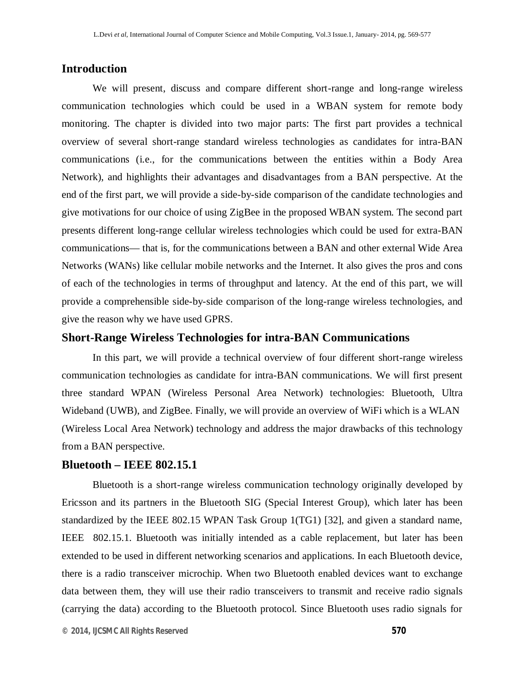## **Introduction**

We will present, discuss and compare different short-range and long-range wireless communication technologies which could be used in a WBAN system for remote body monitoring. The chapter is divided into two major parts: The first part provides a technical overview of several short-range standard wireless technologies as candidates for intra-BAN communications (i.e., for the communications between the entities within a Body Area Network), and highlights their advantages and disadvantages from a BAN perspective. At the end of the first part, we will provide a side-by-side comparison of the candidate technologies and give motivations for our choice of using ZigBee in the proposed WBAN system. The second part presents different long-range cellular wireless technologies which could be used for extra-BAN communications— that is, for the communications between a BAN and other external Wide Area Networks (WANs) like cellular mobile networks and the Internet. It also gives the pros and cons of each of the technologies in terms of throughput and latency. At the end of this part, we will provide a comprehensible side-by-side comparison of the long-range wireless technologies, and give the reason why we have used GPRS.

#### **Short-Range Wireless Technologies for intra-BAN Communications**

In this part, we will provide a technical overview of four different short-range wireless communication technologies as candidate for intra-BAN communications. We will first present three standard WPAN (Wireless Personal Area Network) technologies: Bluetooth, Ultra Wideband (UWB), and ZigBee. Finally, we will provide an overview of WiFi which is a WLAN (Wireless Local Area Network) technology and address the major drawbacks of this technology from a BAN perspective.

#### **Bluetooth – IEEE 802.15.1**

Bluetooth is a short-range wireless communication technology originally developed by Ericsson and its partners in the Bluetooth SIG (Special Interest Group), which later has been standardized by the IEEE 802.15 WPAN Task Group 1(TG1) [32], and given a standard name, IEEE 802.15.1. Bluetooth was initially intended as a cable replacement, but later has been extended to be used in different networking scenarios and applications. In each Bluetooth device, there is a radio transceiver microchip. When two Bluetooth enabled devices want to exchange data between them, they will use their radio transceivers to transmit and receive radio signals (carrying the data) according to the Bluetooth protocol. Since Bluetooth uses radio signals for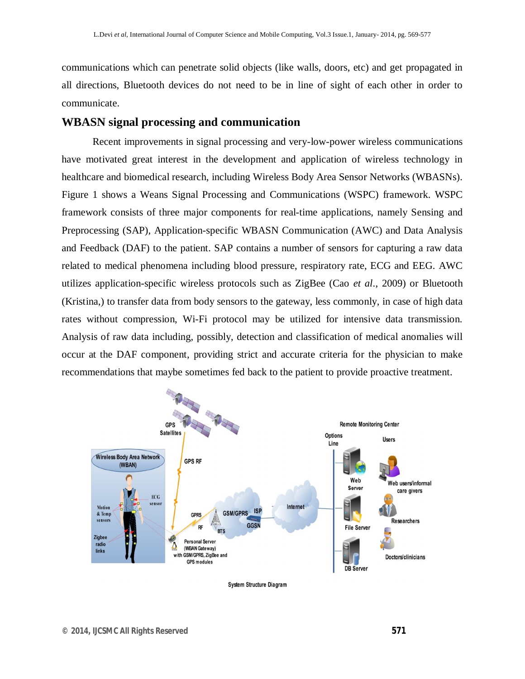communications which can penetrate solid objects (like walls, doors, etc) and get propagated in all directions, Bluetooth devices do not need to be in line of sight of each other in order to communicate.

#### **WBASN signal processing and communication**

Recent improvements in signal processing and very-low-power wireless communications have motivated great interest in the development and application of wireless technology in healthcare and biomedical research, including Wireless Body Area Sensor Networks (WBASNs). Figure 1 shows a Weans Signal Processing and Communications (WSPC) framework. WSPC framework consists of three major components for real-time applications, namely Sensing and Preprocessing (SAP), Application-specific WBASN Communication (AWC) and Data Analysis and Feedback (DAF) to the patient. SAP contains a number of sensors for capturing a raw data related to medical phenomena including blood pressure, respiratory rate, ECG and EEG. AWC utilizes application-specific wireless protocols such as ZigBee (Cao *et al*., 2009) or Bluetooth (Kristina,) to transfer data from body sensors to the gateway, less commonly, in case of high data rates without compression, Wi-Fi protocol may be utilized for intensive data transmission. Analysis of raw data including, possibly, detection and classification of medical anomalies will occur at the DAF component, providing strict and accurate criteria for the physician to make recommendations that maybe sometimes fed back to the patient to provide proactive treatment.



**System Structure Diagram**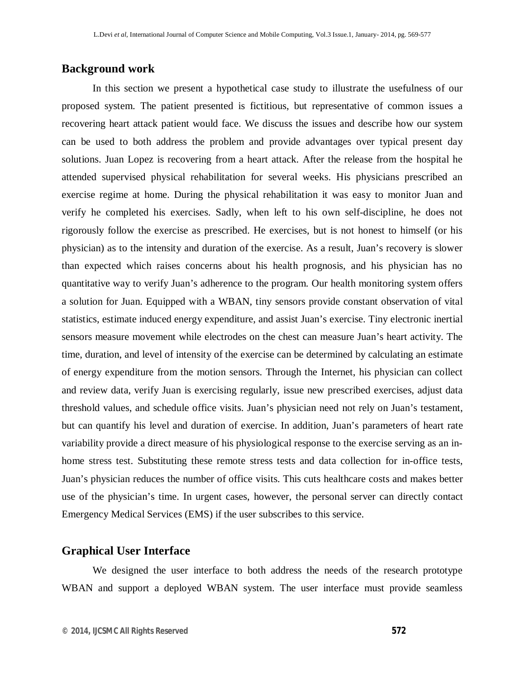#### **Background work**

In this section we present a hypothetical case study to illustrate the usefulness of our proposed system. The patient presented is fictitious, but representative of common issues a recovering heart attack patient would face. We discuss the issues and describe how our system can be used to both address the problem and provide advantages over typical present day solutions. Juan Lopez is recovering from a heart attack. After the release from the hospital he attended supervised physical rehabilitation for several weeks. His physicians prescribed an exercise regime at home. During the physical rehabilitation it was easy to monitor Juan and verify he completed his exercises. Sadly, when left to his own self-discipline, he does not rigorously follow the exercise as prescribed. He exercises, but is not honest to himself (or his physician) as to the intensity and duration of the exercise. As a result, Juan's recovery is slower than expected which raises concerns about his health prognosis, and his physician has no quantitative way to verify Juan's adherence to the program. Our health monitoring system offers a solution for Juan. Equipped with a WBAN, tiny sensors provide constant observation of vital statistics, estimate induced energy expenditure, and assist Juan's exercise. Tiny electronic inertial sensors measure movement while electrodes on the chest can measure Juan's heart activity. The time, duration, and level of intensity of the exercise can be determined by calculating an estimate of energy expenditure from the motion sensors. Through the Internet, his physician can collect and review data, verify Juan is exercising regularly, issue new prescribed exercises, adjust data threshold values, and schedule office visits. Juan's physician need not rely on Juan's testament, but can quantify his level and duration of exercise. In addition, Juan's parameters of heart rate variability provide a direct measure of his physiological response to the exercise serving as an inhome stress test. Substituting these remote stress tests and data collection for in-office tests, Juan's physician reduces the number of office visits. This cuts healthcare costs and makes better use of the physician's time. In urgent cases, however, the personal server can directly contact Emergency Medical Services (EMS) if the user subscribes to this service.

### **Graphical User Interface**

We designed the user interface to both address the needs of the research prototype WBAN and support a deployed WBAN system. The user interface must provide seamless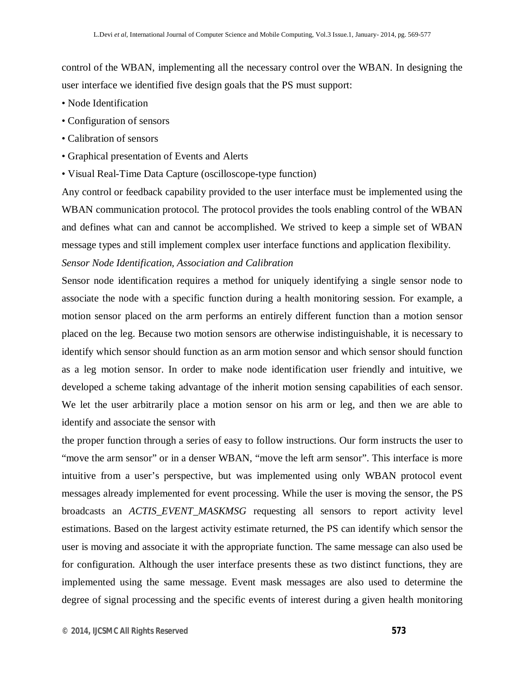control of the WBAN, implementing all the necessary control over the WBAN. In designing the user interface we identified five design goals that the PS must support:

- Node Identification
- Configuration of sensors
- Calibration of sensors
- Graphical presentation of Events and Alerts
- Visual Real-Time Data Capture (oscilloscope-type function)

Any control or feedback capability provided to the user interface must be implemented using the WBAN communication protocol. The protocol provides the tools enabling control of the WBAN and defines what can and cannot be accomplished. We strived to keep a simple set of WBAN message types and still implement complex user interface functions and application flexibility.

## *Sensor Node Identification, Association and Calibration*

Sensor node identification requires a method for uniquely identifying a single sensor node to associate the node with a specific function during a health monitoring session. For example, a motion sensor placed on the arm performs an entirely different function than a motion sensor placed on the leg. Because two motion sensors are otherwise indistinguishable, it is necessary to identify which sensor should function as an arm motion sensor and which sensor should function as a leg motion sensor. In order to make node identification user friendly and intuitive, we developed a scheme taking advantage of the inherit motion sensing capabilities of each sensor. We let the user arbitrarily place a motion sensor on his arm or leg, and then we are able to identify and associate the sensor with

the proper function through a series of easy to follow instructions. Our form instructs the user to "move the arm sensor" or in a denser WBAN, "move the left arm sensor". This interface is more intuitive from a user's perspective, but was implemented using only WBAN protocol event messages already implemented for event processing. While the user is moving the sensor, the PS broadcasts an *ACTIS\_EVENT\_MASKMSG* requesting all sensors to report activity level estimations. Based on the largest activity estimate returned, the PS can identify which sensor the user is moving and associate it with the appropriate function. The same message can also used be for configuration. Although the user interface presents these as two distinct functions, they are implemented using the same message. Event mask messages are also used to determine the degree of signal processing and the specific events of interest during a given health monitoring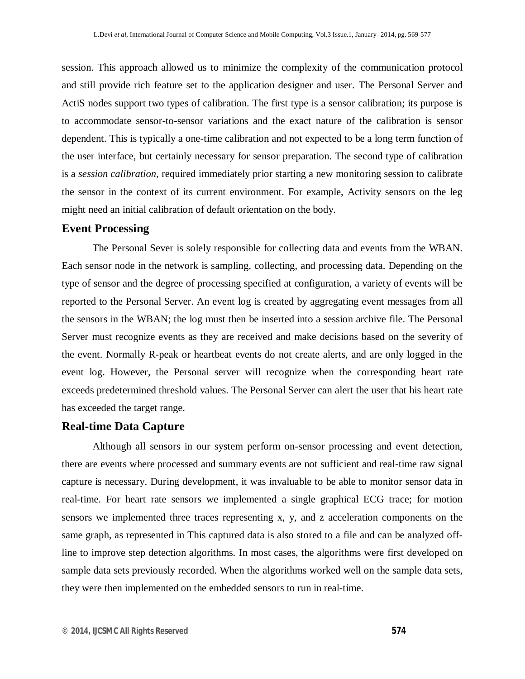session. This approach allowed us to minimize the complexity of the communication protocol and still provide rich feature set to the application designer and user. The Personal Server and ActiS nodes support two types of calibration. The first type is a sensor calibration; its purpose is to accommodate sensor-to-sensor variations and the exact nature of the calibration is sensor dependent. This is typically a one-time calibration and not expected to be a long term function of the user interface, but certainly necessary for sensor preparation. The second type of calibration is a *session calibration*, required immediately prior starting a new monitoring session to calibrate the sensor in the context of its current environment. For example, Activity sensors on the leg might need an initial calibration of default orientation on the body.

## **Event Processing**

The Personal Sever is solely responsible for collecting data and events from the WBAN. Each sensor node in the network is sampling, collecting, and processing data. Depending on the type of sensor and the degree of processing specified at configuration, a variety of events will be reported to the Personal Server. An event log is created by aggregating event messages from all the sensors in the WBAN; the log must then be inserted into a session archive file. The Personal Server must recognize events as they are received and make decisions based on the severity of the event. Normally R-peak or heartbeat events do not create alerts, and are only logged in the event log. However, the Personal server will recognize when the corresponding heart rate exceeds predetermined threshold values. The Personal Server can alert the user that his heart rate has exceeded the target range.

#### **Real-time Data Capture**

Although all sensors in our system perform on-sensor processing and event detection, there are events where processed and summary events are not sufficient and real-time raw signal capture is necessary. During development, it was invaluable to be able to monitor sensor data in real-time. For heart rate sensors we implemented a single graphical ECG trace; for motion sensors we implemented three traces representing x, y, and z acceleration components on the same graph, as represented in This captured data is also stored to a file and can be analyzed offline to improve step detection algorithms. In most cases, the algorithms were first developed on sample data sets previously recorded. When the algorithms worked well on the sample data sets, they were then implemented on the embedded sensors to run in real-time.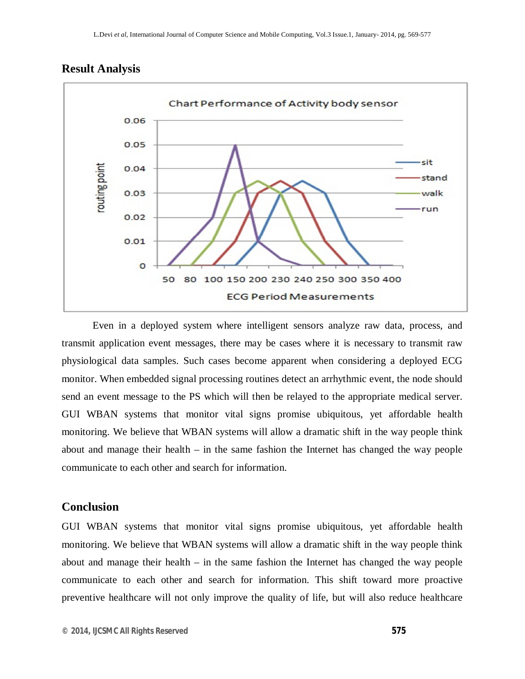



Even in a deployed system where intelligent sensors analyze raw data, process, and transmit application event messages, there may be cases where it is necessary to transmit raw physiological data samples. Such cases become apparent when considering a deployed ECG monitor. When embedded signal processing routines detect an arrhythmic event, the node should send an event message to the PS which will then be relayed to the appropriate medical server. GUI WBAN systems that monitor vital signs promise ubiquitous, yet affordable health monitoring. We believe that WBAN systems will allow a dramatic shift in the way people think about and manage their health – in the same fashion the Internet has changed the way people communicate to each other and search for information.

#### **Conclusion**

GUI WBAN systems that monitor vital signs promise ubiquitous, yet affordable health monitoring. We believe that WBAN systems will allow a dramatic shift in the way people think about and manage their health – in the same fashion the Internet has changed the way people communicate to each other and search for information. This shift toward more proactive preventive healthcare will not only improve the quality of life, but will also reduce healthcare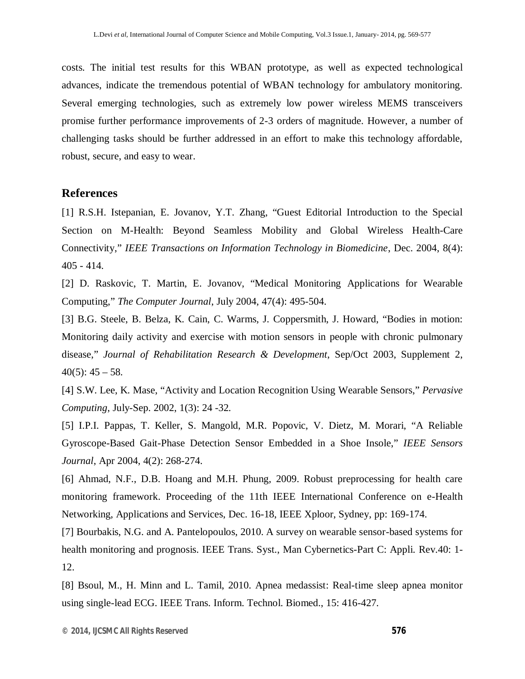costs. The initial test results for this WBAN prototype, as well as expected technological advances, indicate the tremendous potential of WBAN technology for ambulatory monitoring. Several emerging technologies, such as extremely low power wireless MEMS transceivers promise further performance improvements of 2-3 orders of magnitude. However, a number of challenging tasks should be further addressed in an effort to make this technology affordable, robust, secure, and easy to wear.

#### **References**

[1] R.S.H. Istepanian, E. Jovanov, Y.T. Zhang, "Guest Editorial Introduction to the Special Section on M-Health: Beyond Seamless Mobility and Global Wireless Health-Care Connectivity," *IEEE Transactions on Information Technology in Biomedicine*, Dec. 2004, 8(4): 405 - 414.

[2] D. Raskovic, T. Martin, E. Jovanov, "Medical Monitoring Applications for Wearable Computing," *The Computer Journal*, July 2004, 47(4): 495-504.

[3] B.G. Steele, B. Belza, K. Cain, C. Warms, J. Coppersmith, J. Howard, "Bodies in motion: Monitoring daily activity and exercise with motion sensors in people with chronic pulmonary disease," *Journal of Rehabilitation Research & Development*, Sep/Oct 2003, Supplement 2,  $40(5)$ :  $45 - 58$ .

[4] S.W. Lee, K. Mase, "Activity and Location Recognition Using Wearable Sensors," *Pervasive Computing*, July-Sep. 2002, 1(3): 24 -32.

[5] I.P.I. Pappas, T. Keller, S. Mangold, M.R. Popovic, V. Dietz, M. Morari, "A Reliable Gyroscope-Based Gait-Phase Detection Sensor Embedded in a Shoe Insole," *IEEE Sensors Journal*, Apr 2004, 4(2): 268-274.

[6] Ahmad, N.F., D.B. Hoang and M.H. Phung, 2009. Robust preprocessing for health care monitoring framework. Proceeding of the 11th IEEE International Conference on e-Health Networking, Applications and Services, Dec. 16-18, IEEE Xploor, Sydney, pp: 169-174.

[7] Bourbakis, N.G. and A. Pantelopoulos, 2010. A survey on wearable sensor-based systems for health monitoring and prognosis. IEEE Trans. Syst., Man Cybernetics-Part C: Appli. Rev.40: 1- 12.

[8] Bsoul, M., H. Minn and L. Tamil, 2010. Apnea medassist: Real-time sleep apnea monitor using single-lead ECG. IEEE Trans. Inform. Technol. Biomed., 15: 416-427.